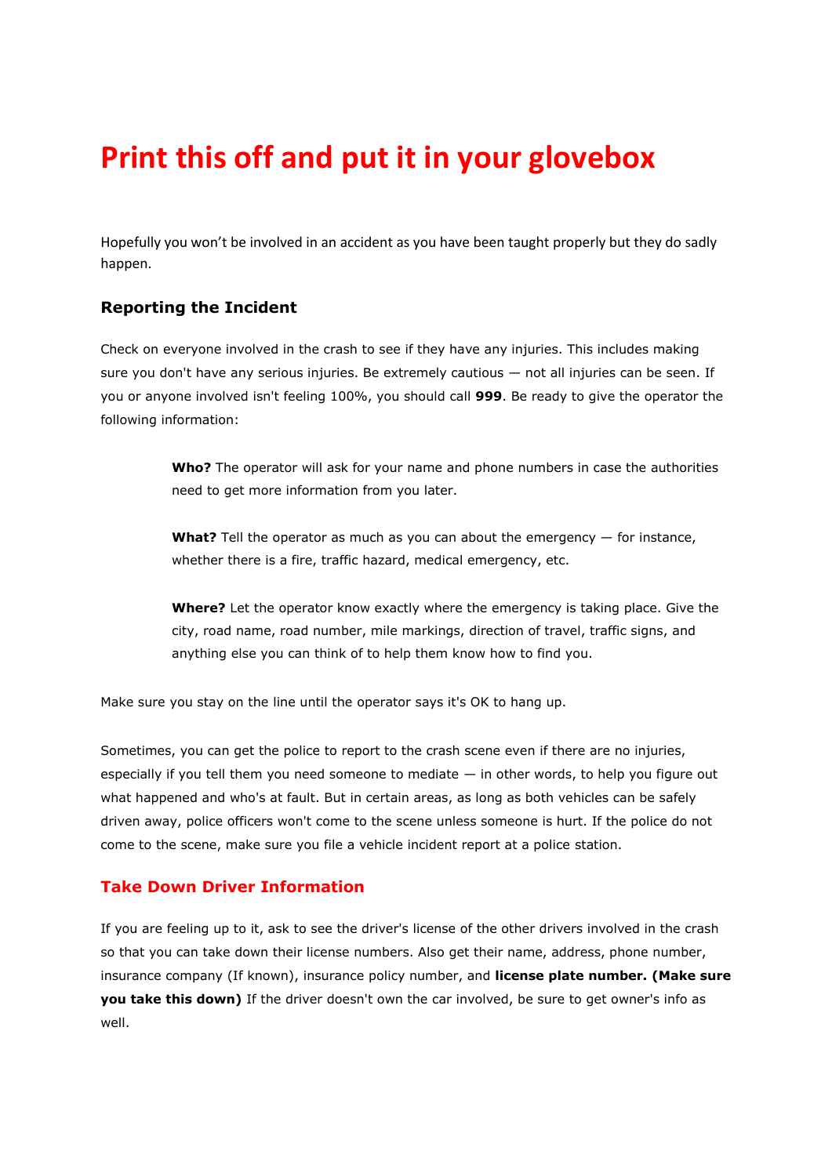# **Print this off and put it in your glovebox**

Hopefully you won't be involved in an accident as you have been taught properly but they do sadly happen.

# **Reporting the Incident**

Check on everyone involved in the crash to see if they have any injuries. This includes making sure you don't have any serious injuries. Be extremely cautious — not all injuries can be seen. If you or anyone involved isn't feeling 100%, you should call **999**. Be ready to give the operator the following information:

> **Who?** The operator will ask for your name and phone numbers in case the authorities need to get more information from you later.

**What?** Tell the operator as much as you can about the emergency — for instance, whether there is a fire, traffic hazard, medical emergency, etc.

**Where?** Let the operator know exactly where the emergency is taking place. Give the city, road name, road number, mile markings, direction of travel, traffic signs, and anything else you can think of to help them know how to find you.

Make sure you stay on the line until the operator says it's OK to hang up.

Sometimes, you can get the police to report to the crash scene even if there are no injuries, especially if you tell them you need someone to mediate  $-$  in other words, to help you figure out what happened and who's at fault. But in certain areas, as long as both vehicles can be safely driven away, police officers won't come to the scene unless someone is hurt. If the police do not come to the scene, make sure you file a vehicle incident report at a police station.

#### **Take Down Driver Information**

If you are feeling up to it, ask to see the driver's license of the other drivers involved in the crash so that you can take down their license numbers. Also get their name, address, phone number, insurance company (If known), insurance policy number, and **license plate number. (Make sure you take this down)** If the driver doesn't own the car involved, be sure to get owner's info as well.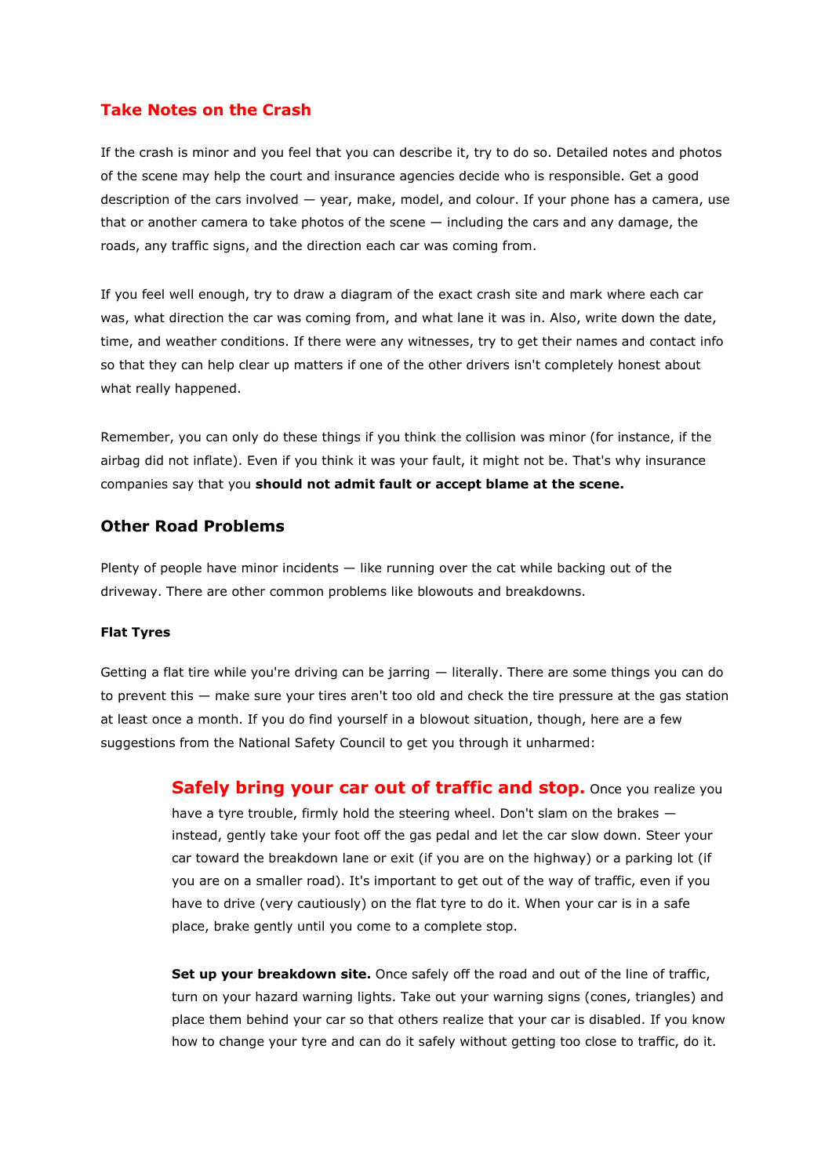## **Take Notes on the Crash**

If the crash is minor and you feel that you can describe it, try to do so. Detailed notes and photos of the scene may help the court and insurance agencies decide who is responsible. Get a good description of the cars involved — year, make, model, and colour. If your phone has a camera, use that or another camera to take photos of the scene — including the cars and any damage, the roads, any traffic signs, and the direction each car was coming from.

If you feel well enough, try to draw a diagram of the exact crash site and mark where each car was, what direction the car was coming from, and what lane it was in. Also, write down the date, time, and weather conditions. If there were any witnesses, try to get their names and contact info so that they can help clear up matters if one of the other drivers isn't completely honest about what really happened.

Remember, you can only do these things if you think the collision was minor (for instance, if the airbag did not inflate). Even if you think it was your fault, it might not be. That's why insurance companies say that you **should not admit fault or accept blame at the scene.**

#### **Other Road Problems**

Plenty of people have minor incidents — like running over the cat while backing out of the driveway. There are other common problems like blowouts and breakdowns.

#### **Flat Tyres**

Getting a flat tire while you're driving can be jarring — literally. There are some things you can do to prevent this — make sure your tires aren't too old and check the tire pressure at the gas station at least once a month. If you do find yourself in a blowout situation, though, here are a few suggestions from the National Safety Council to get you through it unharmed:

> **Safely bring your car out of traffic and stop.** Once you realize you have a tyre trouble, firmly hold the steering wheel. Don't slam on the brakes  $$ instead, gently take your foot off the gas pedal and let the car slow down. Steer your car toward the breakdown lane or exit (if you are on the highway) or a parking lot (if you are on a smaller road). It's important to get out of the way of traffic, even if you have to drive (very cautiously) on the flat tyre to do it. When your car is in a safe place, brake gently until you come to a complete stop.

> **Set up your breakdown site.** Once safely off the road and out of the line of traffic, turn on your hazard warning lights. Take out your warning signs (cones, triangles) and place them behind your car so that others realize that your car is disabled. If you know how to change your tyre and can do it safely without getting too close to traffic, do it.